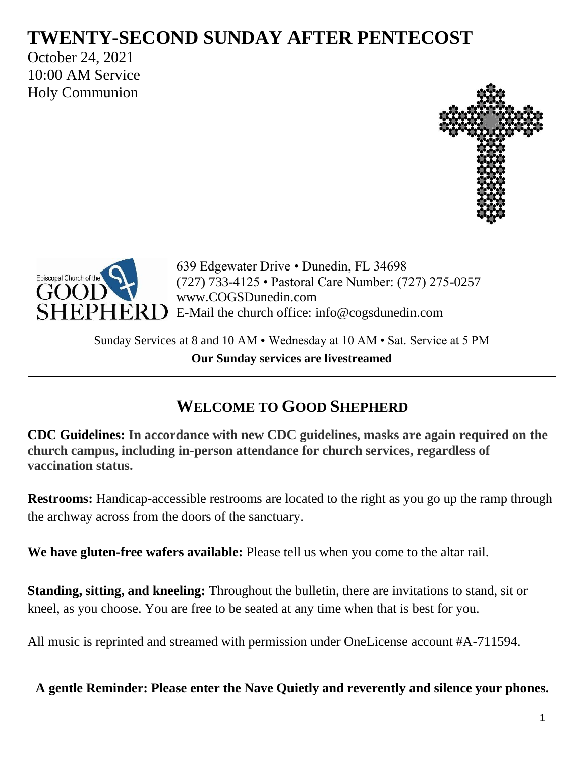# **TWENTY-SECOND SUNDAY AFTER PENTECOST**

October 24, 2021 10:00 AM Service Holy Communion





639 Edgewater Drive • Dunedin, FL 34698 (727) 733-4125 • Pastoral Care Number: (727) 275-0257 www.COGSDunedin.com E-Mail the church office: info@cogsdunedin.com

Sunday Services at 8 and 10 AM • Wednesday at 10 AM • Sat. Service at 5 PM **Our Sunday services are livestreamed**

# **WELCOME TO GOOD SHEPHERD**

**CDC Guidelines: In accordance with new CDC guidelines, masks are again required on the church campus, including in-person attendance for church services, regardless of vaccination status.**

**Restrooms:** Handicap-accessible restrooms are located to the right as you go up the ramp through the archway across from the doors of the sanctuary.

**We have gluten-free wafers available:** Please tell us when you come to the altar rail.

**Standing, sitting, and kneeling:** Throughout the bulletin, there are invitations to stand, sit or kneel, as you choose. You are free to be seated at any time when that is best for you.

All music is reprinted and streamed with permission under OneLicense account #A-711594.

**A gentle Reminder: Please enter the Nave Quietly and reverently and silence your phones.**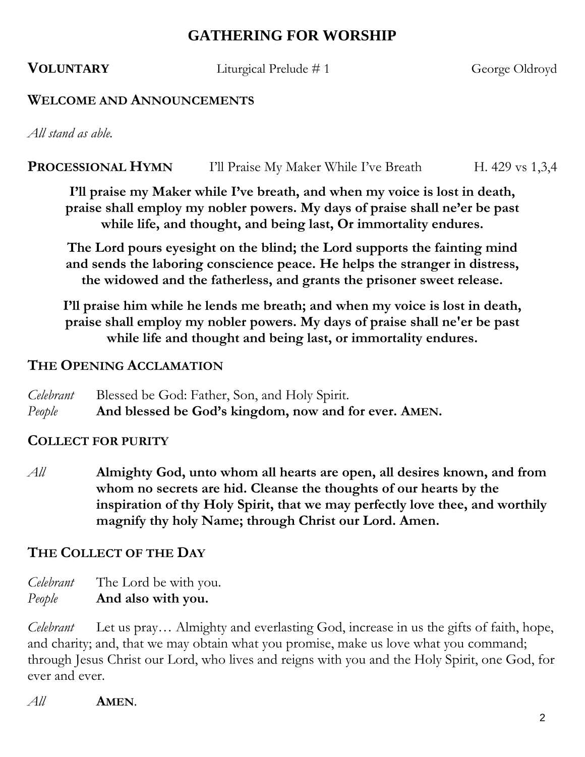# **GATHERING FOR WORSHIP**

**VOLUNTARY** Liturgical Prelude # 1 George Oldroyd

#### **WELCOME AND ANNOUNCEMENTS**

*All stand as able.*

## **PROCESSIONAL HYMN** I'll Praise My Maker While I've Breath H. 429 vs 1,3,4

**I'll praise my Maker while I've breath, and when my voice is lost in death, praise shall employ my nobler powers. My days of praise shall ne'er be past while life, and thought, and being last, Or immortality endures.**

**The Lord pours eyesight on the blind; the Lord supports the fainting mind and sends the laboring conscience peace. He helps the stranger in distress, the widowed and the fatherless, and grants the prisoner sweet release.**

**I'll praise him while he lends me breath; and when my voice is lost in death, praise shall employ my nobler powers. My days of praise shall ne'er be past while life and thought and being last, or immortality endures.**

#### **THE OPENING ACCLAMATION**

*Celebrant* Blessed be God: Father, Son, and Holy Spirit. *People* **And blessed be God's kingdom, now and for ever. AMEN.**

## **COLLECT FOR PURITY**

*All* **Almighty God, unto whom all hearts are open, all desires known, and from whom no secrets are hid. Cleanse the thoughts of our hearts by the inspiration of thy Holy Spirit, that we may perfectly love thee, and worthily magnify thy holy Name; through Christ our Lord. Amen.**

## **THE COLLECT OF THE DAY**

*Celebrant* The Lord be with you. *People* **And also with you.**

*Celebrant* Let us pray… Almighty and everlasting God, increase in us the gifts of faith, hope, and charity; and, that we may obtain what you promise, make us love what you command; through Jesus Christ our Lord, who lives and reigns with you and the Holy Spirit, one God, for ever and ever.

*All* **AMEN**.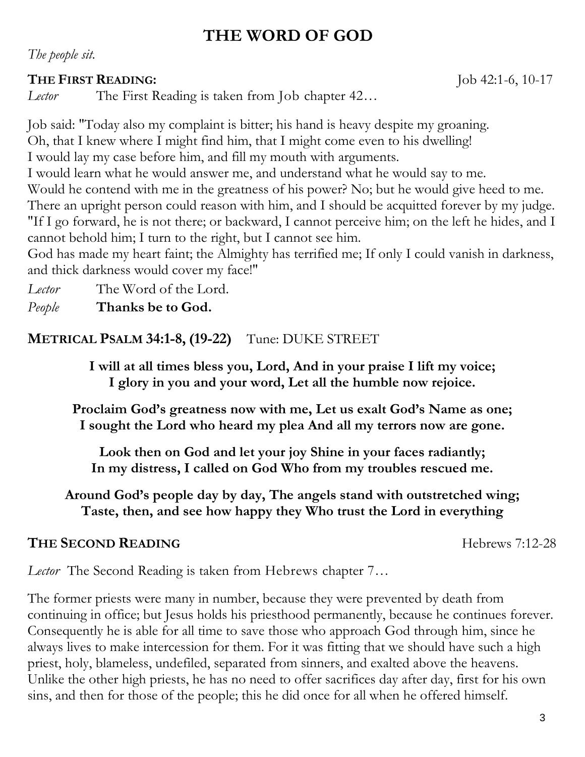# **THE WORD OF GOD**

*The people sit.*

## **THE FIRST READING:** Job 42:1-6, 10-17

*Lector* The First Reading is taken from Job chapter 42…

Job said: "Today also my complaint is bitter; his hand is heavy despite my groaning. Oh, that I knew where I might find him, that I might come even to his dwelling! I would lay my case before him, and fill my mouth with arguments.

I would learn what he would answer me, and understand what he would say to me.

Would he contend with me in the greatness of his power? No; but he would give heed to me.

There an upright person could reason with him, and I should be acquitted forever by my judge. "If I go forward, he is not there; or backward, I cannot perceive him; on the left he hides, and I

cannot behold him; I turn to the right, but I cannot see him.

God has made my heart faint; the Almighty has terrified me; If only I could vanish in darkness, and thick darkness would cover my face!"

*Lector* The Word of the Lord.

*People* **Thanks be to God.**

**METRICAL PSALM 34:1-8, (19-22)** Tune: DUKE STREET

**I will at all times bless you, Lord, And in your praise I lift my voice; I glory in you and your word, Let all the humble now rejoice.**

**Proclaim God's greatness now with me, Let us exalt God's Name as one; I sought the Lord who heard my plea And all my terrors now are gone.**

**Look then on God and let your joy Shine in your faces radiantly; In my distress, I called on God Who from my troubles rescued me.**

**Around God's people day by day, The angels stand with outstretched wing; Taste, then, and see how happy they Who trust the Lord in everything**

# **THE SECOND READING** Hebrews 7:12-28

*Lector* The Second Reading is taken from Hebrews chapter 7…

The former priests were many in number, because they were prevented by death from continuing in office; but Jesus holds his priesthood permanently, because he continues forever. Consequently he is able for all time to save those who approach God through him, since he always lives to make intercession for them. For it was fitting that we should have such a high priest, holy, blameless, undefiled, separated from sinners, and exalted above the heavens. Unlike the other high priests, he has no need to offer sacrifices day after day, first for his own sins, and then for those of the people; this he did once for all when he offered himself.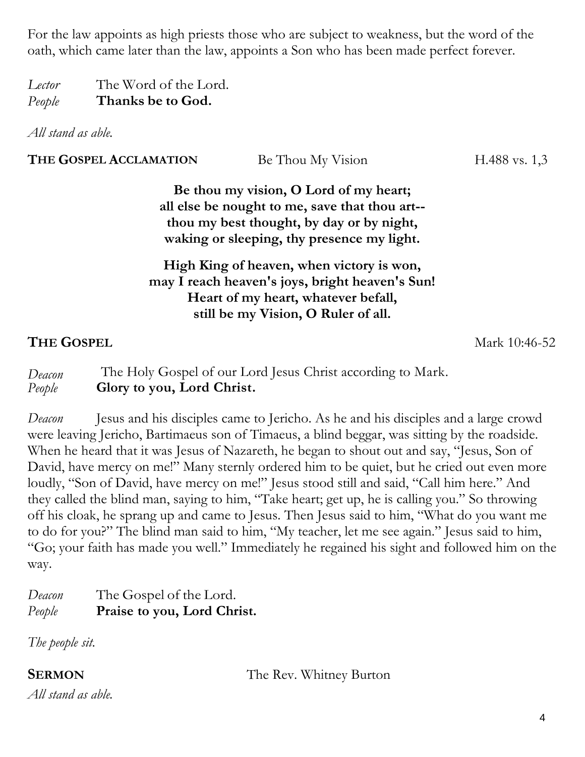For the law appoints as high priests those who are subject to weakness, but the word of the oath, which came later than the law, appoints a Son who has been made perfect forever.

*Lector* The Word of the Lord. *People* **Thanks be to God.**

*All stand as able.*

| THE GOSPEL ACCLAMATION | Be Thou My Vision | H.488 vs. $1,3$ |
|------------------------|-------------------|-----------------|
|                        |                   |                 |

**Be thou my vision, O Lord of my heart; all else be nought to me, save that thou art- thou my best thought, by day or by night, waking or sleeping, thy presence my light.**

## **High King of heaven, when victory is won, may I reach heaven's joys, bright heaven's Sun! Heart of my heart, whatever befall, still be my Vision, O Ruler of all.**

## **THE GOSPEL** Mark 10:46-52

*Deacon* The Holy Gospel of our Lord Jesus Christ according to Mark. *People* **Glory to you, Lord Christ.**

*Deacon* Jesus and his disciples came to Jericho. As he and his disciples and a large crowd were leaving Jericho, Bartimaeus son of Timaeus, a blind beggar, was sitting by the roadside. When he heard that it was Jesus of Nazareth, he began to shout out and say, "Jesus, Son of David, have mercy on me!" Many sternly ordered him to be quiet, but he cried out even more loudly, "Son of David, have mercy on me!" Jesus stood still and said, "Call him here." And they called the blind man, saying to him, "Take heart; get up, he is calling you." So throwing off his cloak, he sprang up and came to Jesus. Then Jesus said to him, "What do you want me to do for you?" The blind man said to him, "My teacher, let me see again." Jesus said to him, "Go; your faith has made you well." Immediately he regained his sight and followed him on the way.

*Deacon* The Gospel of the Lord. *People* **Praise to you, Lord Christ.**

*The people sit.*

**SERMON** The Rev. Whitney Burton

*All stand as able.*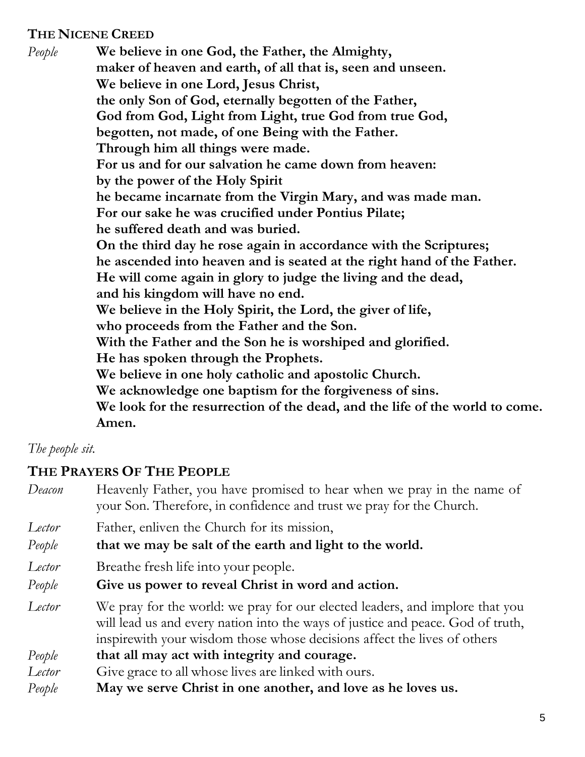## **THE NICENE CREED**

*People* **We believe in one God, the Father, the Almighty, maker of heaven and earth, of all that is, seen and unseen. We believe in one Lord, Jesus Christ, the only Son of God, eternally begotten of the Father, God from God, Light from Light, true God from true God, begotten, not made, of one Being with the Father. Through him all things were made. For us and for our salvation he came down from heaven: by the power of the Holy Spirit he became incarnate from the Virgin Mary, and was made man. For our sake he was crucified under Pontius Pilate; he suffered death and was buried. On the third day he rose again in accordance with the Scriptures; he ascended into heaven and is seated at the right hand of the Father. He will come again in glory to judge the living and the dead, and his kingdom will have no end. We believe in the Holy Spirit, the Lord, the giver of life, who proceeds from the Father and the Son. With the Father and the Son he is worshiped and glorified. He has spoken through the Prophets. We believe in one holy catholic and apostolic Church. We acknowledge one baptism for the forgiveness of sins. We look for the resurrection of the dead, and the life of the world to come. Amen.**

## *The people sit.*

## **THE PRAYERS OF THE PEOPLE**

| Deacon | Heavenly Father, you have promised to hear when we pray in the name of<br>your Son. Therefore, in confidence and trust we pray for the Church.                                                                                               |
|--------|----------------------------------------------------------------------------------------------------------------------------------------------------------------------------------------------------------------------------------------------|
| Lector | Father, enliven the Church for its mission,                                                                                                                                                                                                  |
| People | that we may be salt of the earth and light to the world.                                                                                                                                                                                     |
| Lector | Breathe fresh life into your people.                                                                                                                                                                                                         |
| People | Give us power to reveal Christ in word and action.                                                                                                                                                                                           |
| Lector | We pray for the world: we pray for our elected leaders, and implore that you<br>will lead us and every nation into the ways of justice and peace. God of truth,<br>inspire with your wisdom those whose decisions affect the lives of others |
| People | that all may act with integrity and courage.                                                                                                                                                                                                 |
| Lector | Give grace to all whose lives are linked with ours.                                                                                                                                                                                          |
| People | May we serve Christ in one another, and love as he loves us.                                                                                                                                                                                 |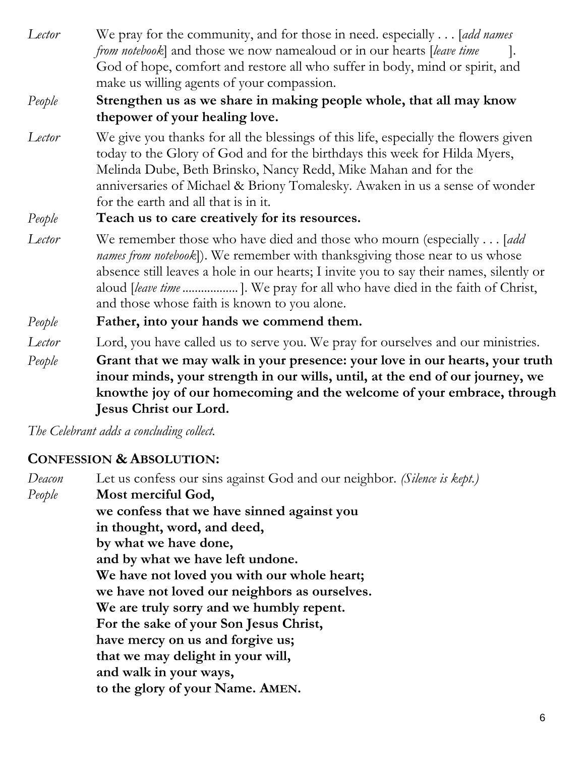*Lector* We pray for the community, and for those in need. especially . . . [*add names from notebook*] and those we now namealoud or in our hearts [*leave time* ]. God of hope, comfort and restore all who suffer in body, mind or spirit, and make us willing agents of your compassion.

## *People* **Strengthen us as we share in making people whole, that all may know thepower of your healing love.**

*Lector* We give you thanks for all the blessings of this life, especially the flowers given today to the Glory of God and for the birthdays this week for Hilda Myers, Melinda Dube, Beth Brinsko, Nancy Redd, Mike Mahan and for the anniversaries of Michael & Briony Tomalesky*.* Awaken in us a sense of wonder for the earth and all that is in it.

*People* **Teach us to care creatively for its resources.**

*Lector* We remember those who have died and those who mourn (especially . . . [*add names from notebook*]). We remember with thanksgiving those near to us whose absence still leaves a hole in our hearts; I invite you to say their names, silently or aloud [*leave time ..................* ]. We pray for all who have died in the faith of Christ, and those whose faith is known to you alone.

# *People* **Father, into your hands we commend them.**

- *Lector* Lord, you have called us to serve you. We pray for ourselves and our ministries.
- *People* **Grant that we may walk in your presence: your love in our hearts, your truth inour minds, your strength in our wills, until, at the end of our journey, we knowthe joy of our homecoming and the welcome of your embrace, through Jesus Christ our Lord.**

*The Celebrant adds a concluding collect.* 

# **CONFESSION & ABSOLUTION:**

*Deacon* Let us confess our sins against God and our neighbor. *(Silence is kept.) People* **Most merciful God, we confess that we have sinned against you in thought, word, and deed, by what we have done, and by what we have left undone. We have not loved you with our whole heart; we have not loved our neighbors as ourselves. We are truly sorry and we humbly repent. For the sake of your Son Jesus Christ, have mercy on us and forgive us; that we may delight in your will, and walk in your ways, to the glory of your Name. AMEN.**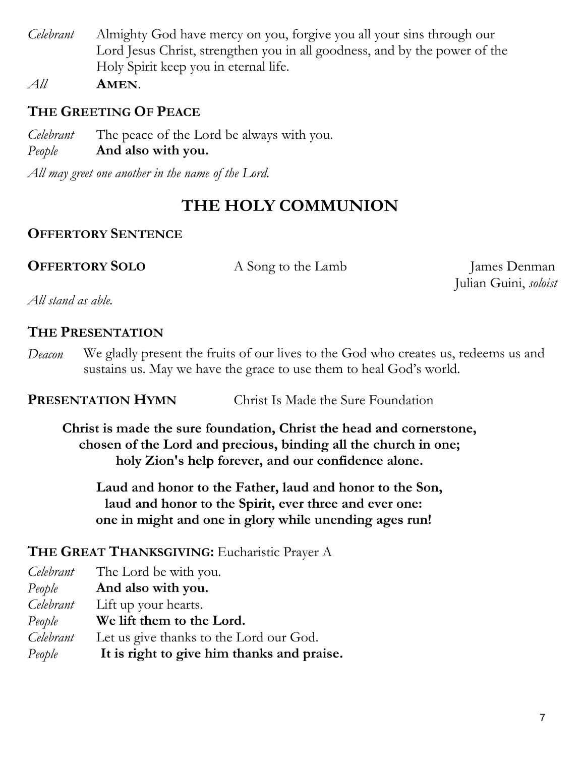*Celebrant* Almighty God have mercy on you, forgive you all your sins through our Lord Jesus Christ, strengthen you in all goodness, and by the power of the Holy Spirit keep you in eternal life.

*All* **AMEN**.

# **THE GREETING OF PEACE**

*Celebrant* The peace of the Lord be always with you. *People* **And also with you.**

*All may greet one another in the name of the Lord.*

# **THE HOLY COMMUNION**

# **OFFERTORY SENTENCE**

**OFFERTORY SOLO** A Song to the Lamb James Denman

Julian Guini, *soloist*

*All stand as able.*

## **THE PRESENTATION**

*Deacon* We gladly present the fruits of our lives to the God who creates us, redeems us and sustains us. May we have the grace to use them to heal God's world.

## **PRESENTATION HYMN** Christ Is Made the Sure Foundation

**Christ is made the sure foundation, Christ the head and cornerstone, chosen of the Lord and precious, binding all the church in one; holy Zion's help forever, and our confidence alone.**

**Laud and honor to the Father, laud and honor to the Son, laud and honor to the Spirit, ever three and ever one: one in might and one in glory while unending ages run!**

# **THE GREAT THANKSGIVING:** Eucharistic Prayer A

| Let us give thanks to the Lord our God.    |
|--------------------------------------------|
| It is right to give him thanks and praise. |
|                                            |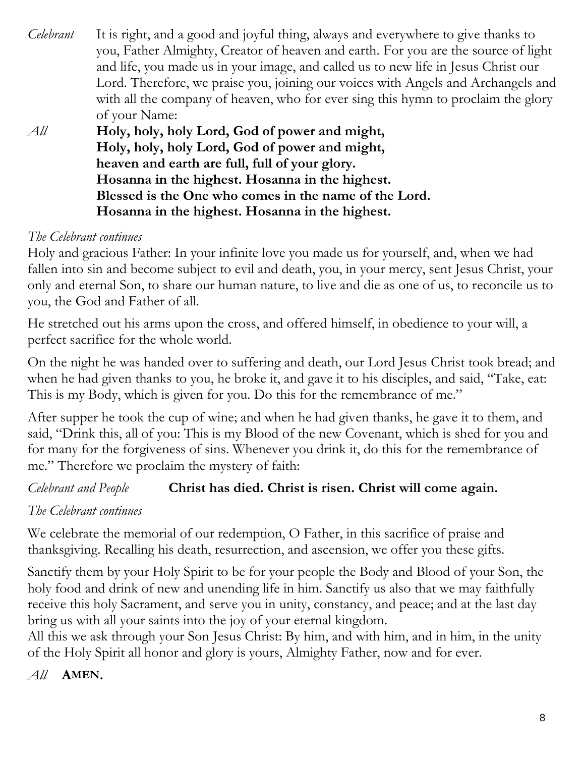- *Celebrant* It is right, and a good and joyful thing, always and everywhere to give thanks to you, Father Almighty, Creator of heaven and earth. For you are the source of light and life, you made us in your image, and called us to new life in Jesus Christ our Lord. Therefore, we praise you, joining our voices with Angels and Archangels and with all the company of heaven, who for ever sing this hymn to proclaim the glory of your Name:
- *All* **Holy, holy, holy Lord, God of power and might, Holy, holy, holy Lord, God of power and might, heaven and earth are full, full of your glory. Hosanna in the highest. Hosanna in the highest. Blessed is the One who comes in the name of the Lord. Hosanna in the highest. Hosanna in the highest.**

# *The Celebrant continues*

Holy and gracious Father: In your infinite love you made us for yourself, and, when we had fallen into sin and become subject to evil and death, you, in your mercy, sent Jesus Christ, your only and eternal Son, to share our human nature, to live and die as one of us, to reconcile us to you, the God and Father of all.

He stretched out his arms upon the cross, and offered himself, in obedience to your will, a perfect sacrifice for the whole world.

On the night he was handed over to suffering and death, our Lord Jesus Christ took bread; and when he had given thanks to you, he broke it, and gave it to his disciples, and said, "Take, eat: This is my Body, which is given for you. Do this for the remembrance of me."

After supper he took the cup of wine; and when he had given thanks, he gave it to them, and said, "Drink this, all of you: This is my Blood of the new Covenant, which is shed for you and for many for the forgiveness of sins. Whenever you drink it, do this for the remembrance of me." Therefore we proclaim the mystery of faith:

## *Celebrant and People* **Christ has died. Christ is risen. Christ will come again.**

# *The Celebrant continues*

We celebrate the memorial of our redemption, O Father, in this sacrifice of praise and thanksgiving. Recalling his death, resurrection, and ascension, we offer you these gifts.

Sanctify them by your Holy Spirit to be for your people the Body and Blood of your Son, the holy food and drink of new and unending life in him. Sanctify us also that we may faithfully receive this holy Sacrament, and serve you in unity, constancy, and peace; and at the last day bring us with all your saints into the joy of your eternal kingdom.

All this we ask through your Son Jesus Christ: By him, and with him, and in him, in the unity of the Holy Spirit all honor and glory is yours, Almighty Father, now and for ever.

## *All* **AMEN.**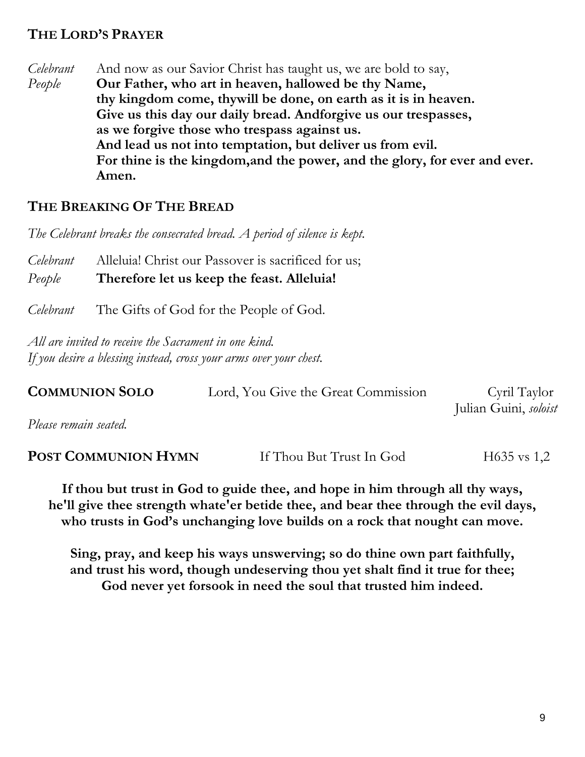## **THE LORD'S PRAYER**

*Celebrant* And now as our Savior Christ has taught us, we are bold to say, *People* **Our Father, who art in heaven, hallowed be thy Name, thy kingdom come, thywill be done, on earth as it is in heaven. Give us this day our daily bread. Andforgive us our trespasses, as we forgive those who trespass against us. And lead us not into temptation, but deliver us from evil. For thine is the kingdom,and the power, and the glory, for ever and ever. Amen.**

## **THE BREAKING OF THE BREAD**

*The Celebrant breaks the consecrated bread. A period of silence is kept.*

*Celebrant* Alleluia! Christ our Passover is sacrificed for us; *People* **Therefore let us keep the feast. Alleluia!**

*Celebrant* The Gifts of God for the People of God.

*All are invited to receive the Sacrament in one kind. If you desire a blessing instead, cross your arms over your chest.*

| <b>COMMUNION SOLO</b> | Lord, You Give the Great Commission | Cyril Taylor          |
|-----------------------|-------------------------------------|-----------------------|
|                       |                                     | Julian Guini, soloist |
| Please remain seated. |                                     |                       |

| POST COMMUNION HYMN | If Thou But Trust In God | $H635$ vs 1,2 |
|---------------------|--------------------------|---------------|
|---------------------|--------------------------|---------------|

**If thou but trust in God to guide thee, and hope in him through all thy ways, he'll give thee strength whate'er betide thee, and bear thee through the evil days, who trusts in God's unchanging love builds on a rock that nought can move.**

**Sing, pray, and keep his ways unswerving; so do thine own part faithfully, and trust his word, though undeserving thou yet shalt find it true for thee; God never yet forsook in need the soul that trusted him indeed.**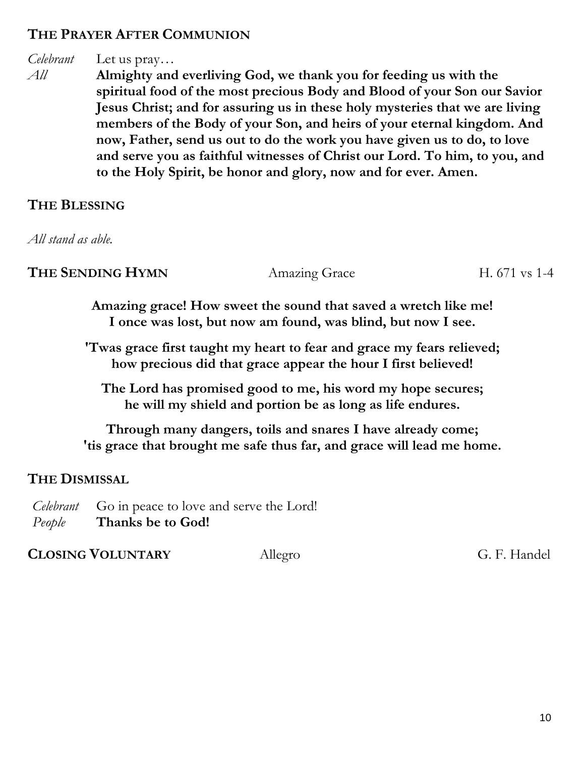## **THE PRAYER AFTER COMMUNION**

# *Celebrant* Let us pray…

*All* **Almighty and everliving God, we thank you for feeding us with the spiritual food of the most precious Body and Blood of your Son our Savior Jesus Christ; and for assuring us in these holy mysteries that we are living members of the Body of your Son, and heirs of your eternal kingdom. And now, Father, send us out to do the work you have given us to do, to love and serve you as faithful witnesses of Christ our Lord. To him, to you, and to the Holy Spirit, be honor and glory, now and for ever. Amen.**

## **THE BLESSING**

*All stand as able.*

**THE SENDING HYMN** Amazing Grace H. 671 vs 1-4

**Amazing grace! How sweet the sound that saved a wretch like me! I once was lost, but now am found, was blind, but now I see.**

**'Twas grace first taught my heart to fear and grace my fears relieved; how precious did that grace appear the hour I first believed!**

**The Lord has promised good to me, his word my hope secures; he will my shield and portion be as long as life endures.**

**Through many dangers, toils and snares I have already come; 'tis grace that brought me safe thus far, and grace will lead me home.**

## **THE DISMISSAL**

*Celebrant* Go in peace to love and serve the Lord! *People* **Thanks be to God!**

**CLOSING VOLUNTARY** AllegroG. F. Handel